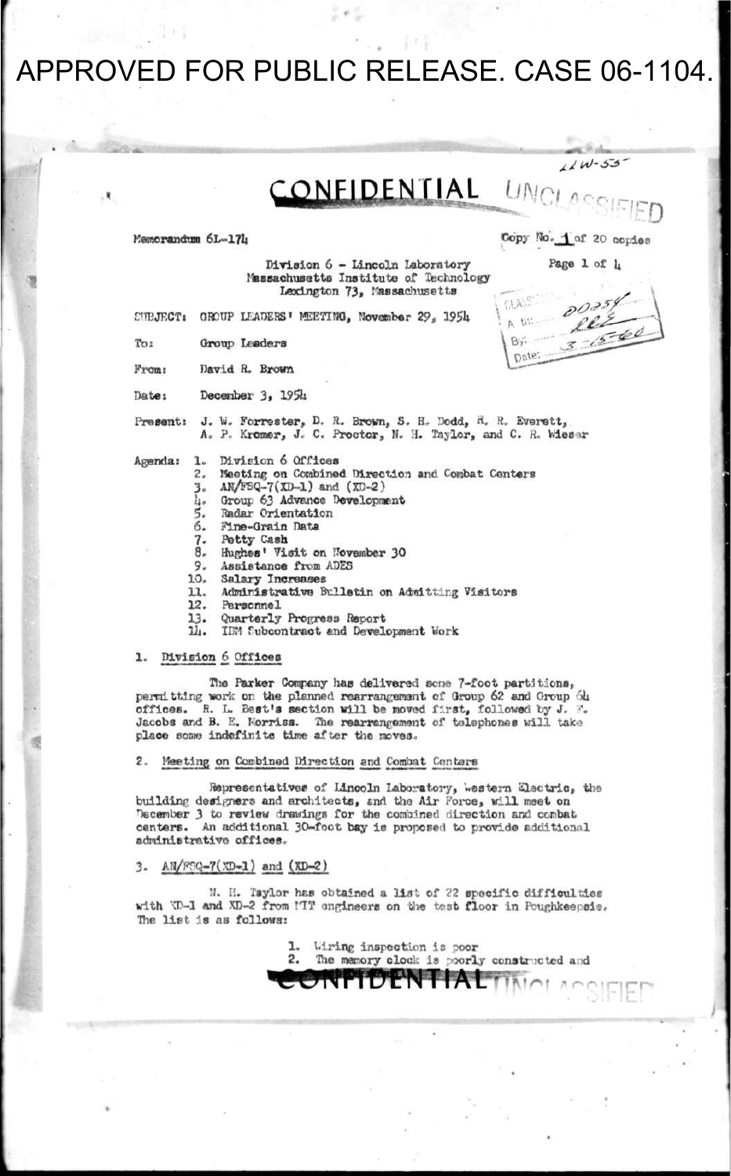CONFIDENTIAL ONCL

Memorandum 6L-174 Copy No. 1 of 20 copies

3

CLASS 瓦切 By:

Date:

*j\_J UU-^Z}'* 

**Division 6 - Lincoln Laboratory Page 1 of lj Massachusetts Institute of Technology Lexington 73> Massachusetts** 

**CrmjKCT« GROUP LEADERS' MEETING, November 29, 19SU** 

**To: Group Leaders** 

**From: David R. Brown** 

**Dates December 3, 195U** 

**Present: J. W. Forrester, D. R. Brown, S. H, Dodd, <\*. R» Everett, A. P" Kromer, J. C. Proctor, N. H. Taylor, and C. H. Wiesnr** 

- **Agenda: 1. Division 6 Offices** 
	- **2, Meeting on Combined Direction and Combat Centers**
	- **3 . AN/FSQ-7(XD-1) and (XD-2)**
	- **U. Group 63 Advance Development**
	- **5. Radar Orientation**
	- **6. Pine-Grain Data**
	- **7. Petty Cash**
	- **8. Hughes' Visit on November 30**
	- **9. Assistance from ADES**
	- **10. Salary Increas e**
	- **11. Administrative Bulletin on Admitting Visitors**
	- **12. Personnel**
	- **13. Quarterly Progress Report**
	- **lit. IBM Tubcontraet and Development Work**

#### **1 - division 6 Offices**

**Tlie Parker Company lias delivered sens 7-foot partitions, permitting work or the planned rearrangement of Group 62 and Group <51» offices. R. L. Best's section will be moved first, followed by J. '. Jacobs and B. E. Forriss. The rearrangement of telephones will take place some indefinite time after the moves.** 

#### **2. Meeting on Combined Direction and Combat G»ntars**

**Representatives** of Lincoln Laboratory, western Electric, the building designers and architects, and the Air Force, will meet on **Tecember 3 to review drawings for the combined direction and combat centers. An additional 30-foot bay is proposed to provide additional administrative offices.** 

#### **3. AH/req-7(XD-l) and (XD-2)**

**\*J. B. Tsylor has obtained a list of ?2 specific difficultie s**  with **W-1 and XD-2 from MTT** ongineers on the test floor in Poughkeepsis. **The list is as follows:** 

> **1. l.iring inspection is poor**  The memory clock is poorly constructed and **•WILDENTIAL TIME!**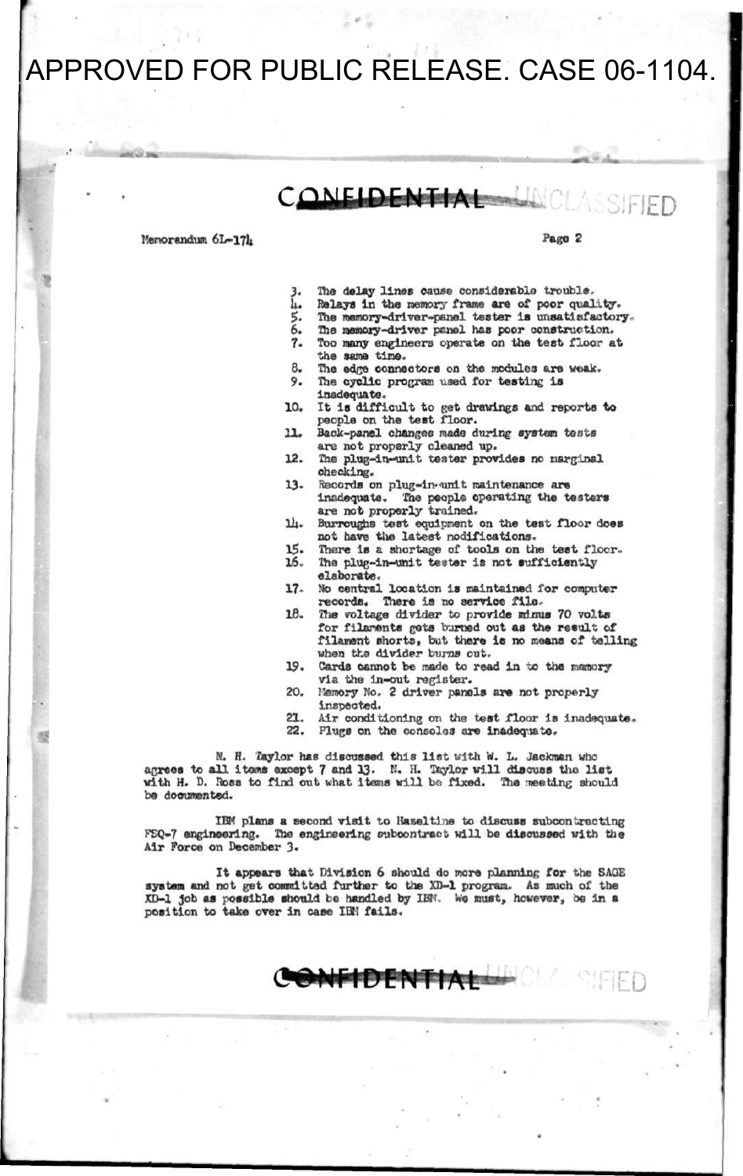### CONFIDENTIAL

**Memorandum 6L-17L** Page 2

**ED** 

- **3. The delay lines cause considerable trouble.**
- *h.* Relays in the memory frame are of poor quality.<br>5. The memory-driver-panel tester is unsatisfactor
- 5. The memory-driver-panel tester is unsatisfactory.<br>6. The memory-driver panel has poor construction.
- **6. The memory-driver penel has poor construction.**
- **7. Too many engineers operate on the test floor at the same time.**
- **8. The edge connectors on the modules are weak.**
- The cyclic program used for testing is **Inadequate.**
- **10. It Is difficult to get drawings and reports to people on the test floor.**
- **11. Back-panel changes made during system tests are not properly cleaned up.**
- **12. The plug-in-unlt tester provides no marginal checking.**
- 13. Records on plug-in-unit maintenance are **inadequate. The people operating the testers are not properly trained.**
- **111. Burroughs test equipment on the test floor does not have the latest modifications.**
- 15. There is a shortage of tools on the test floor.<br>16. The plug-in-unit tester is not sufficiently **16. The plug-in-unit tester is not sufficiently** 
	- **elaborate.**
- **17 No central location is maintained for computer records. There is no service file-**
- **18. The voltage divider to provide minus 70 volts for filanente gets turned out as the result of filament shorts, but there is no means of telling when tha divider burns out.**
- **19. Cards cannot be made to read in** *xs* **the memory via the in-out register.**
- **20. tfemory No. 2 driver panels are not properly inspeoted.**
- **21. Air conditioning on the test floor is inadequate.**
- **22. Plugs on the consoles are lnadeqiate.**

N. H. Taylor has discussed this list with W. L. Jackman who **agrees to all items except 7 and 13. K. H. Taylor will discuss the list with H. D. Ross to find out what items will bo fixed. The meeting should be documented.** 

**IBM plans a second visit to Haeeltine to discuss subcontracting FCQ-7 engineering. The engineering subcontract will be discussed with the Air Force on December 3»** 

**It appears that Division 6 should do more planning for the SAOE system and not get committed further to the XD-1 program. As much of the XD-1 job aa possible should be handled by IBM. We must, however, be in a position to take over in case IDM fails.** 

**CONFIDENTIAL**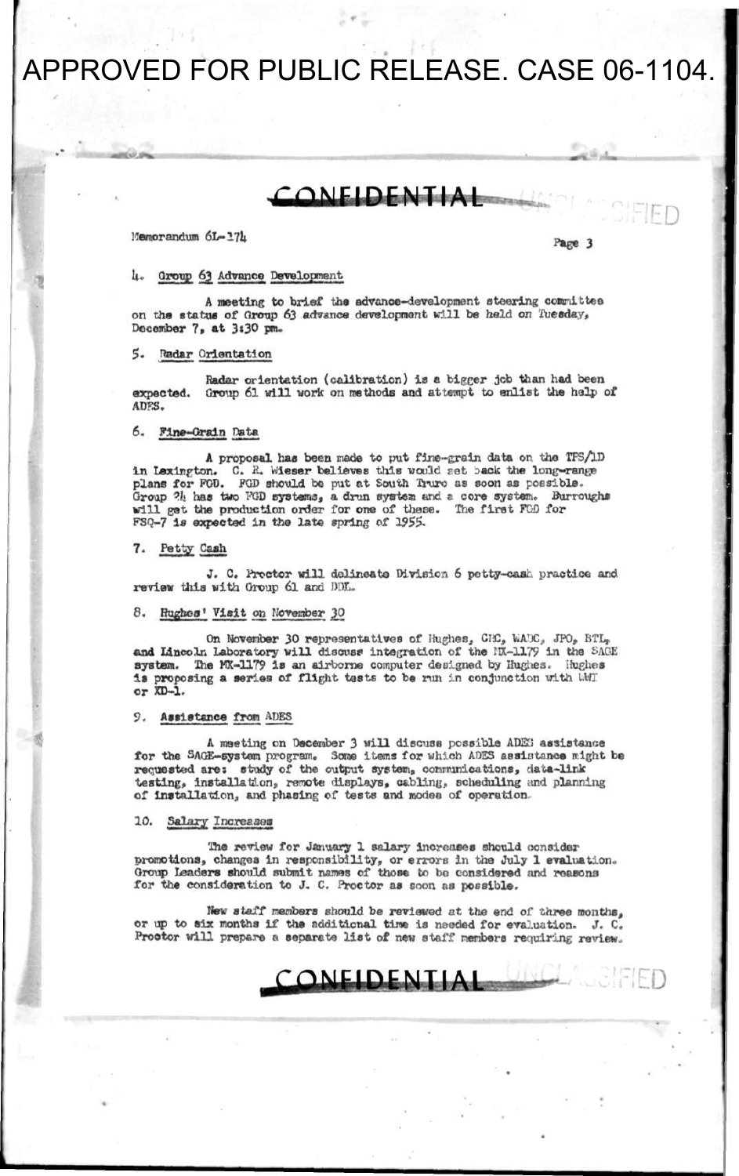**•—•» • I ——— — I** 

### **CONFIDENTIAL**

 $M$ emorandum  $6L-17L$ 

**UNCLASSIFIED** 

#### U. Oroup §2 Advance Development

A meeting to brief the advance-development steering committee on the statue of Oroup 63 advance development will be held on Tuesday, December 7, at 3:30 pm.

#### 5. Radar Orientation

Radar orientation (calibration) is a bigger job than had been expected. Group 61 will work on methods and attempt to enlist the help of ADKS.

#### 6. Pine-Grain Data

A proposal has been made to put fine-grain data on the TFS/iD in Lexington. C. R. Wieser believes this would set back the long-range plans for POD. PGD should be put at South Truro as aoon as possible. Group ?lj has two TOD systems, a drun system and s core system. Burroughs will get the production order for one of these. The first FGD for FSQ-7 is expected in the late spring of 1955.

#### 7. Petty Cash

J. C. Proctor will delineate Division 6 potty-cast, practice and review this with Oroup 61 and DDL.

#### 8. Hughes' Visit on November 30

On November 30 representatives of Hughes, CISC, WWC, JPO, BTL, and Lincoln Laboratory will discuss integration of the HX-1179 in the SAGE system. The MX-1179 is an airborne computer designed by Hughes. Hughes is proposing a series of flight tests to be run in conjunction with WMI or XD-1.

#### 9. Assistance from APES

A meeting on December 3 will discuss possible ADKi assistance for the SAGE-system program. Some items for which ADES assistance might be requested are: study of the output system, comnunicatlons, data-link testing, Installation, remote displays, cabling, scheduling and planning of installation, and phasing of tests and modes of operation.

#### 10. Salary Increases

**The review for January 1 salary increases should consider promotions, changes in responsibility, or errors in the July 1 evaluation. Oroup Leaders should submit names of those to bo considered and reasons for the consideration to J. C. Proctor as soon as possible.** 

**New staff members should be reviewed at the end of three months, or up to six months if the additional time is naeded for evaluation. J. C. Proctor will prepare a separate list of new staff members requiring review.** 

CONFIDENTIAL